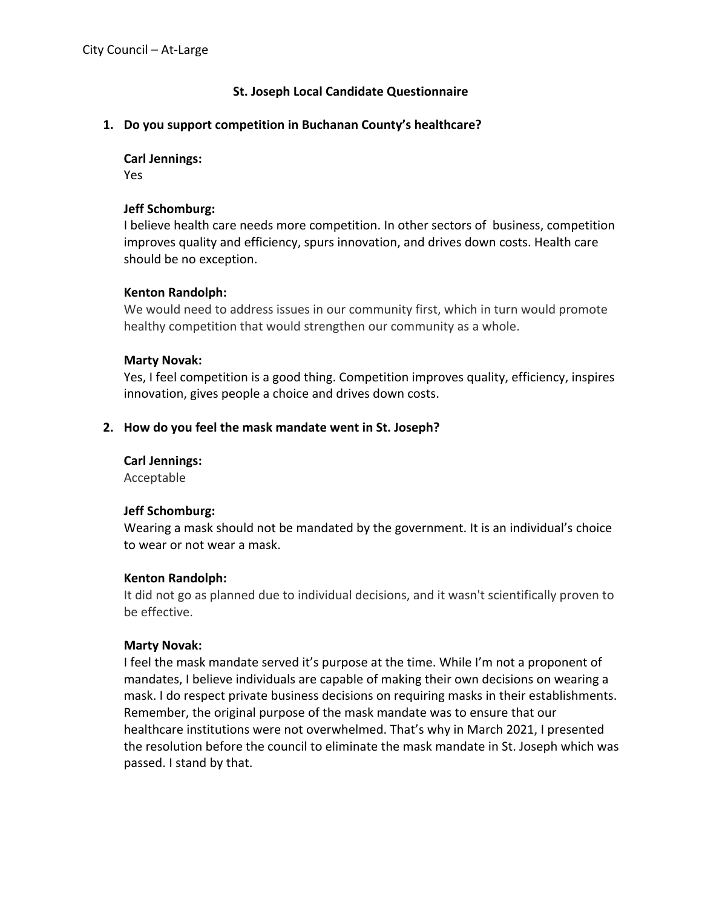## **St. Joseph Local Candidate Questionnaire**

#### **1. Do you support competition in Buchanan County's healthcare?**

#### **Carl Jennings:**

Yes

#### **Jeff Schomburg:**

I believe health care needs more competition. In other sectors of business, competition improves quality and efficiency, spurs innovation, and drives down costs. Health care should be no exception.

#### **Kenton Randolph:**

We would need to address issues in our community first, which in turn would promote healthy competition that would strengthen our community as a whole.

#### **Marty Novak:**

Yes, I feel competition is a good thing. Competition improves quality, efficiency, inspires innovation, gives people a choice and drives down costs.

#### **2. How do you feel the mask mandate went in St. Joseph?**

#### **Carl Jennings:**

Acceptable

#### **Jeff Schomburg:**

Wearing a mask should not be mandated by the government. It is an individual's choice to wear or not wear a mask.

#### **Kenton Randolph:**

It did not go as planned due to individual decisions, and it wasn't scientifically proven to be effective.

#### **Marty Novak:**

I feel the mask mandate served it's purpose at the time. While I'm not a proponent of mandates, I believe individuals are capable of making their own decisions on wearing a mask. I do respect private business decisions on requiring masks in their establishments. Remember, the original purpose of the mask mandate was to ensure that our healthcare institutions were not overwhelmed. That's why in March 2021, I presented the resolution before the council to eliminate the mask mandate in St. Joseph which was passed. I stand by that.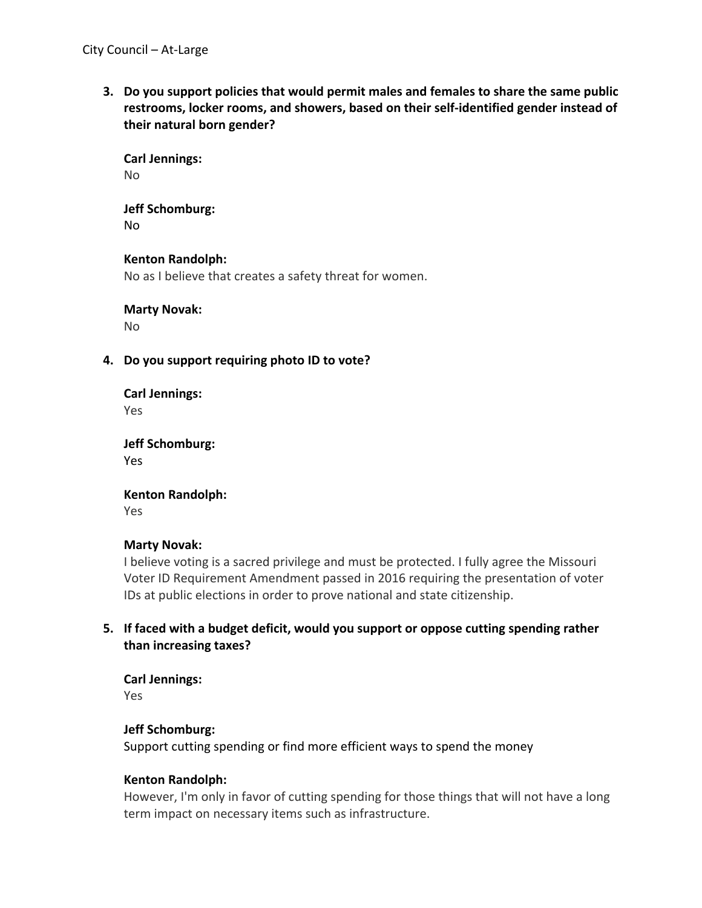**3. Do you support policies that would permit males and females to share the same public restrooms, locker rooms, and showers, based on their self-identified gender instead of their natural born gender?**

**Carl Jennings:** No

**Jeff Schomburg:** No

**Kenton Randolph:** No as I believe that creates a safety threat for women.

**Marty Novak:**

No

**4. Do you support requiring photo ID to vote?**

**Carl Jennings:** Yes

**Jeff Schomburg:** Yes

**Kenton Randolph:**

Yes

#### **Marty Novak:**

I believe voting is a sacred privilege and must be protected. I fully agree the Missouri Voter ID Requirement Amendment passed in 2016 requiring the presentation of voter IDs at public elections in order to prove national and state citizenship.

# **5. If faced with a budget deficit, would you support or oppose cutting spending rather than increasing taxes?**

**Carl Jennings:** Yes

#### **Jeff Schomburg:**

Support cutting spending or find more efficient ways to spend the money

#### **Kenton Randolph:**

However, I'm only in favor of cutting spending for those things that will not have a long term impact on necessary items such as infrastructure.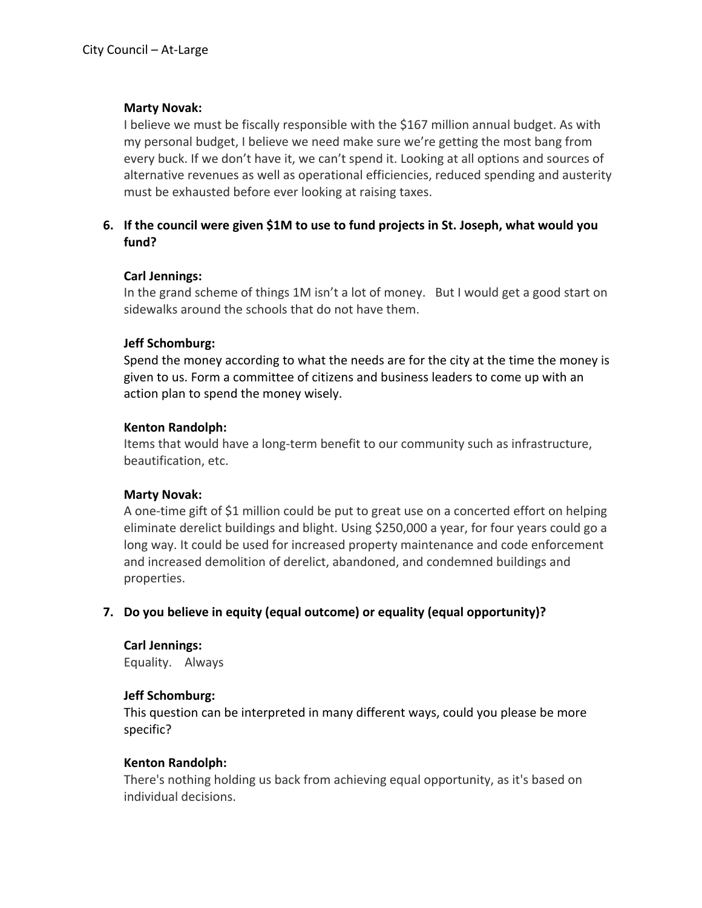#### **Marty Novak:**

I believe we must be fiscally responsible with the \$167 million annual budget. As with my personal budget, I believe we need make sure we're getting the most bang from every buck. If we don't have it, we can't spend it. Looking at all options and sources of alternative revenues as well as operational efficiencies, reduced spending and austerity must be exhausted before ever looking at raising taxes.

# **6. If the council were given \$1M to use to fund projects in St. Joseph, what would you fund?**

## **Carl Jennings:**

In the grand scheme of things 1M isn't a lot of money. But I would get a good start on sidewalks around the schools that do not have them.

## **Jeff Schomburg:**

Spend the money according to what the needs are for the city at the time the money is given to us. Form a committee of citizens and business leaders to come up with an action plan to spend the money wisely.

## **Kenton Randolph:**

Items that would have a long-term benefit to our community such as infrastructure, beautification, etc.

#### **Marty Novak:**

A one-time gift of \$1 million could be put to great use on a concerted effort on helping eliminate derelict buildings and blight. Using \$250,000 a year, for four years could go a long way. It could be used for increased property maintenance and code enforcement and increased demolition of derelict, abandoned, and condemned buildings and properties.

# **7. Do you believe in equity (equal outcome) or equality (equal opportunity)?**

# **Carl Jennings:**

Equality. Always

# **Jeff Schomburg:**

This question can be interpreted in many different ways, could you please be more specific?

# **Kenton Randolph:**

There's nothing holding us back from achieving equal opportunity, as it's based on individual decisions.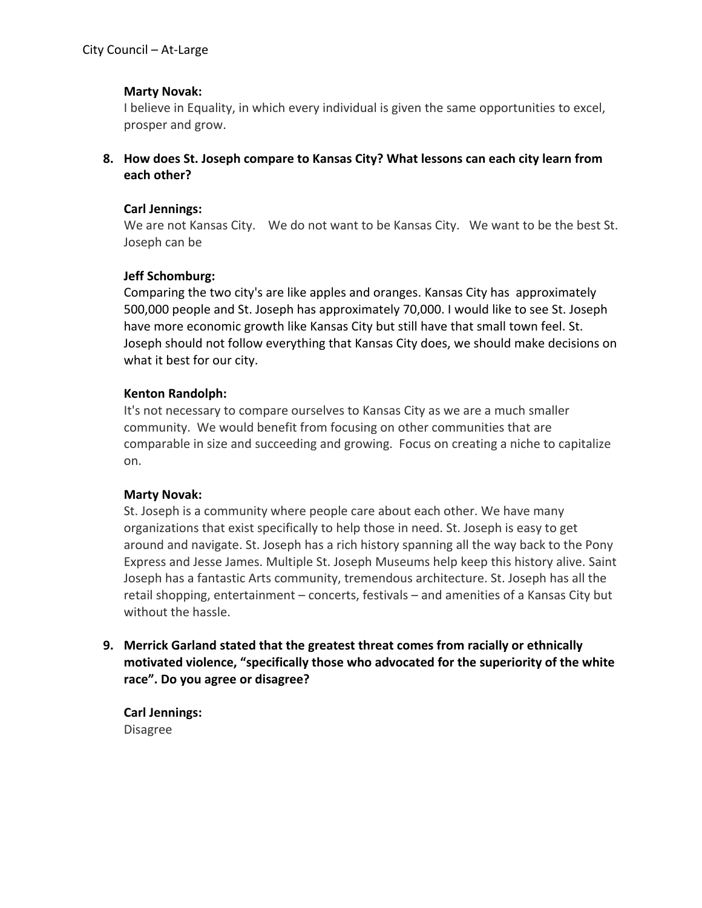#### **Marty Novak:**

I believe in Equality, in which every individual is given the same opportunities to excel, prosper and grow.

**8. How does St. Joseph compare to Kansas City? What lessons can each city learn from each other?**

#### **Carl Jennings:**

We are not Kansas City. We do not want to be Kansas City. We want to be the best St. Joseph can be

## **Jeff Schomburg:**

Comparing the two city's are like apples and oranges. Kansas City has approximately 500,000 people and St. Joseph has approximately 70,000. I would like to see St. Joseph have more economic growth like Kansas City but still have that small town feel. St. Joseph should not follow everything that Kansas City does, we should make decisions on what it best for our city.

## **Kenton Randolph:**

It's not necessary to compare ourselves to Kansas City as we are a much smaller community. We would benefit from focusing on other communities that are comparable in size and succeeding and growing. Focus on creating a niche to capitalize on.

#### **Marty Novak:**

St. Joseph is a community where people care about each other. We have many organizations that exist specifically to help those in need. St. Joseph is easy to get around and navigate. St. Joseph has a rich history spanning all the way back to the Pony Express and Jesse James. Multiple St. Joseph Museums help keep this history alive. Saint Joseph has a fantastic Arts community, tremendous architecture. St. Joseph has all the retail shopping, entertainment – concerts, festivals – and amenities of a Kansas City but without the hassle.

**9. Merrick Garland stated that the greatest threat comes from racially or ethnically motivated violence, "specifically those who advocated for the superiority of the white race". Do you agree or disagree?**

**Carl Jennings:** Disagree